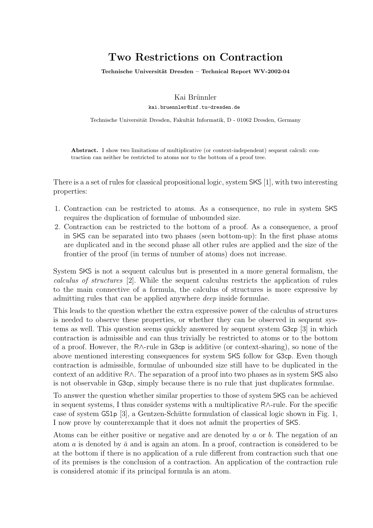# **Two Restrictions on Contraction**

Technische Universität Dresden - Technical Report WV-2002-04

Kai Brünnler

kai.bruennler@inf.tu-dresden.de

Technische Universität Dresden, Fakultät Informatik, D - 01062 Dresden, Germany

**Abstract.** I show two limitations of multiplicative (or context-independent) sequent calculi: contraction can neither be restricted to atoms nor to the bottom of a proof tree.

There is a a set of rules for classical propositional logic, system SKS [1], with two interesting properties:

- 1. Contraction can be restricted to atoms. As a consequence, no rule in system SKS requires the duplication of formulae of unbounded size.
- 2. Contraction can be restricted to the bottom of a proof. As a consequence, a proof in SKS can be separated into two phases (seen bottom-up): In the first phase atoms are duplicated and in the second phase all other rules are applied and the size of the frontier of the proof (in terms of number of atoms) does not increase.

System SKS is not a sequent calculus but is presented in a more general formalism, the calculus of structures [2]. While the sequent calculus restricts the application of rules to the main connective of a formula, the calculus of structures is more expressive by admitting rules that can be applied anywhere deep inside formulae.

This leads to the question whether the extra expressive power of the calculus of structures is needed to observe these properties, or whether they can be observed in sequent systems as well. This question seems quickly answered by sequent system G3cp [3] in which contraction is admissible and can thus trivially be restricted to atoms or to the bottom of a proof. However, the R∧-rule in G3cp is additive (or context-sharing), so none of the above mentioned interesting consequences for system SKS follow for G3cp. Even though contraction is admissible, formulae of unbounded size still have to be duplicated in the context of an additive R∧. The separation of a proof into two phases as in system SKS also is not observable in G3cp, simply because there is no rule that just duplicates formulae.

To answer the question whether similar properties to those of system SKS can be achieved in sequent systems, I thus consider systems with a multiplicative R∧-rule. For the specific case of system  $\text{GSp} [3]$ , a Gentzen-Schütte formulation of classical logic shown in Fig. 1, I now prove by counterexample that it does not admit the properties of SKS.

Atoms can be either positive or negative and are denoted by a or b. The negation of an atom a is denoted by  $\bar{a}$  and is again an atom. In a proof, contraction is considered to be at the bottom if there is no application of a rule different from contraction such that one of its premises is the conclusion of a contraction. An application of the contraction rule is considered atomic if its principal formula is an atom.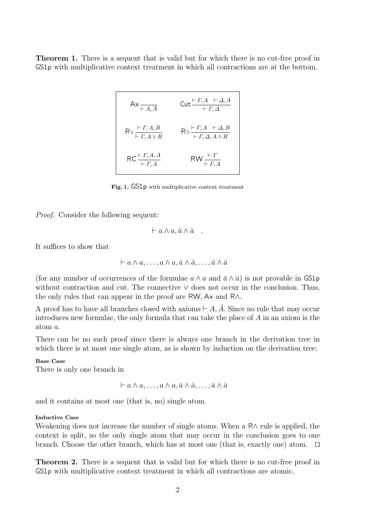**Theorem 1.** There is a sequent that is valid but for which there is no cut-free proof in GS1p with multiplicative context treatment in which all contractions are at the bottom.

$$
Ax \nightharpoonup_{\overline{A, A}} \n\text{Cut} \frac{\vdash \Gamma, A \vdash \Delta, \overline{A}}{\vdash \Gamma, \Delta}
$$
\n
$$
R \vee \frac{\vdash \Gamma, A, B}{\vdash \Gamma, A \vee B} \n\qquad\nR \wedge \frac{\vdash \Gamma, A \vdash \Delta, B}{\vdash \Gamma, \Delta, A \wedge B}
$$
\n
$$
RC \frac{\vdash \Gamma, A, A}{\vdash \Gamma, A} \n\qquad\nR \wedge \frac{\vdash \Gamma}{\vdash \Gamma, A}
$$

**Fig. 1.** GS1p with multiplicative context treatment

Proof. Consider the following sequent:

$$
\vdash a \wedge a, \bar{a} \wedge \bar{a} .
$$

It suffices to show that

$$
\vdash a \land a, \ldots, a \land a, \bar{a} \land \bar{a}, \ldots, \bar{a} \land \bar{a}
$$

(for any number of occurrences of the formulae  $a \wedge a$  and  $\bar{a} \wedge \bar{a}$ ) is not provable in GS1p without contraction and cut. The connective ∨ does not occur in the conclusion. Thus, the only rules that can appear in the proof are RW, Ax and R∧.

A proof has to have all branches closed with axioms  $\vdash A, \overline{A}$ . Since no rule that may occur introduces new formulae, the only formula that can take the place of A in an axiom is the atom a.

There can be no such proof since there is always one branch in the derivation tree in which there is at most one single atom, as is shown by induction on the derivation tree:

#### **Base Case**

There is only one branch in

$$
\vdash a \land a, \ldots, a \land a, \bar{a} \land \bar{a}, \ldots, \bar{a} \land \bar{a}
$$

and it contains at most one (that is, no) single atom.

#### **Inductive Case**

Weakening does not increase the number of single atoms. When a R∧ rule is applied, the context is split, so the only single atom that may occur in the conclusion goes to one branch. Choose the other branch, which has at most one (that is, exactly one) atom.  $\Box$ 

**Theorem 2.** There is a sequent that is valid but for which there is no cut-free proof in GS1p with multiplicative context treatment in which all contractions are atomic.